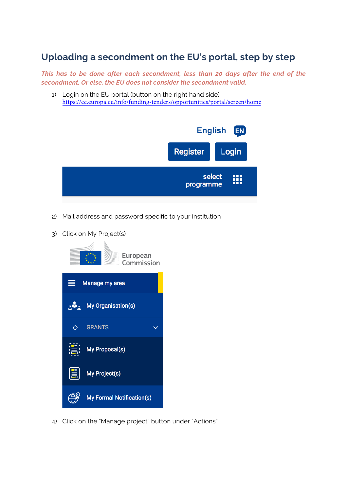## **Uploading a secondment on the EU's portal, step by step**

*This has to be done after each secondment, less than 20 days after the end of the secondment. Or else, the EU does not consider the secondment valid.*

1) Login on the EU portal (button on the right hand side) <https://ec.europa.eu/info/funding-tenders/opportunities/portal/screen/home>



- 2) Mail address and password specific to your institution
- 3) Click on My Project(s)



4) Click on the "Manage project" button under "Actions"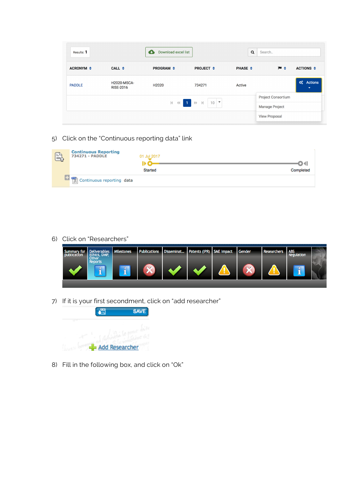| Results: 1       |                                        | Download excel list |                                  | Q              | Search                                                            |
|------------------|----------------------------------------|---------------------|----------------------------------|----------------|-------------------------------------------------------------------|
| <b>ACRONYM ≑</b> | CALL $\div$                            | <b>PROGRAM ≑</b>    | <b>PROJECT <math>\div</math></b> | <b>PHASE ≑</b> | $M \div$<br>ACTIONS $\div$                                        |
| <b>PADDLE</b>    | <b>H2020-MSCA-</b><br><b>RISE-2016</b> | H <sub>2020</sub>   | 734271                           | Active         | $\boldsymbol{\alpha}_{6}^{s}$ Actions<br>$\overline{\phantom{a}}$ |
|                  |                                        |                     |                                  |                | <b>Project Consortium</b>                                         |
|                  |                                        |                     | $M \ll 1$ $M \sim 10$            |                | <b>Manage Project</b>                                             |
|                  |                                        |                     |                                  |                | <b>View Proposal</b>                                              |

5) Click on the "Continuous reporting data" link

| $\mathbb{B}$ | <b>Continuous Reporting<br/>734271 - PADDLE</b>                                                                                                                    | 01 Jul 2017<br>Started | Completed |
|--------------|--------------------------------------------------------------------------------------------------------------------------------------------------------------------|------------------------|-----------|
|              | $\begin{array}{ c c c c }\hline \textbf{1} & \textbf{m} \\ \hline \textbf{1} & \textbf{m} \\ \hline \textbf{2} & \textbf{0} \end{array}$ Continuous reporting data |                        |           |

6) Click on "Researchers"



7) If it is your first secondment, click on "add researcher"



8) Fill in the following box, and click on "Ok"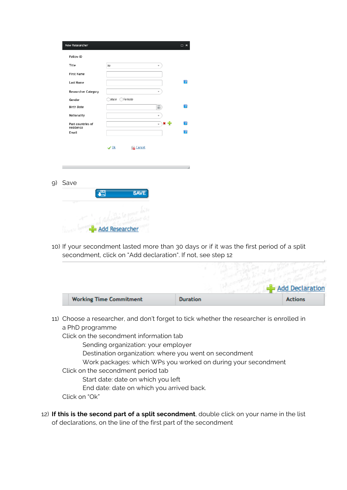| New Researcher                 |                               | □ ×          |
|--------------------------------|-------------------------------|--------------|
| <b>Fellow ID</b>               |                               |              |
| Title                          | Mr<br>٠                       |              |
| <b>First Name</b>              |                               |              |
| Last Name                      |                               | $\mathbf{I}$ |
| <b>Researcher Category</b>     | ÷                             |              |
| Gender                         | Male OFemale                  |              |
| <b>Birth Date</b>              | 盖                             | n            |
| Nationality                    | ٠                             |              |
| Past countries of<br>residence | * 좋<br>$\overline{}$          | n            |
| Email                          |                               | Ŧ            |
|                                | <b>Cancel</b><br>$\sqrt{0k}$  |              |
| Save<br>9)                     |                               |              |
| 谓                              | <b>SAVE</b>                   |              |
| ਹਾ                             | $-0$<br><b>Add Researcher</b> |              |

10) If your secondment lasted more than 30 days or if it was the first period of a split secondment, click on "Add declaration". If not, see step 12

|                                |                 | Add Declaration |
|--------------------------------|-----------------|-----------------|
| <b>Working Time Commitment</b> | <b>Duration</b> | <b>Actions</b>  |

11) Choose a researcher, and don't forget to tick whether the researcher is enrolled in a PhD programme

Click on the secondment information tab

Sending organization: your employer

Destination organization: where you went on secondment

Work packages: which WPs you worked on during your secondment

Click on the secondment period tab

Start date: date on which you left

End date: date on which you arrived back.

Click on "Ok"

12) **If this is the second part of a split secondment**, double click on your name in the list of declarations, on the line of the first part of the secondment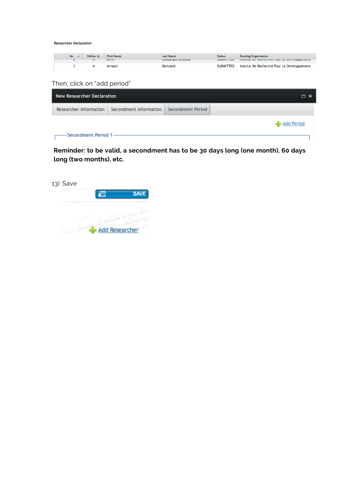**Researcher Declaration** 

| <b>No</b> | <b>Fellow Id</b> | <b>First Name</b><br><b>COUNTY</b> | <b>Last Name</b><br>LUDOUI SUJ DIIGUJJY | <b>Status</b><br><b>JUDITH LILLY</b> | <b>Sending Organisation</b><br>matitudize international contrate perceppenditum. |
|-----------|------------------|------------------------------------|-----------------------------------------|--------------------------------------|----------------------------------------------------------------------------------|
|           |                  | Arnaud                             | Bertrand                                | <b>SUBMITTED</b>                     | Institut De Recherche Pour Le Developpement                                      |

Then, click on "add period"

| New Researcher Declaration |                        |                   | $\Box$ $\times$ |
|----------------------------|------------------------|-------------------|-----------------|
| Researcher Information     | Secondment Information | Secondment Period |                 |
|                            |                        |                   | Add Period      |
| -Secondment Period 1       |                        |                   |                 |

**Reminder: to be valid, a secondment has to be 30 days long (one month), 60 days long (two months), etc.**

| 13) Save |                       |             |
|----------|-----------------------|-------------|
|          |                       | <b>SAVE</b> |
|          |                       |             |
|          | <b>Add Researcher</b> |             |